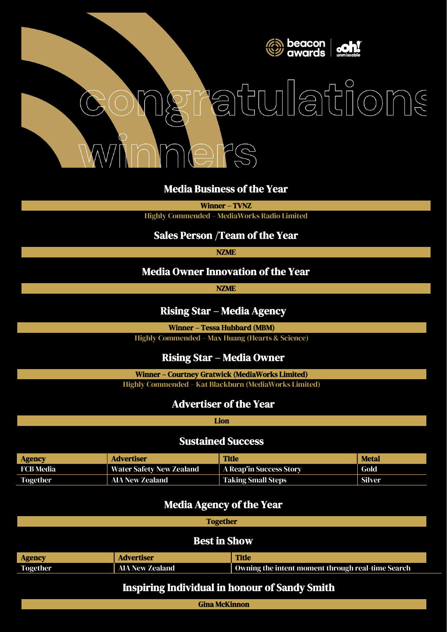

# atulations  $\widehat{\mathcal{S}}$

#### Media Business of the Year

Winner – TVNZ

Highly Commended – MediaWorks Radio Limited

#### Sales Person /Team of the Year

NZME

#### Media Owner Innovation of the Year

NZME

#### Rising Star – Media Agency

Winner – Tessa Hubbard (MBM)

Highly Commended – Max Huang (Hearts & Science)

## Rising Star – Media Owner

Winner – Courtney Gratwick (MediaWorks Limited)

Highly Commended – Kat Blackburn (MediaWorks Limited)

## Advertiser of the Year

Lion

#### Sustained Success

| <b>Agency</b>   | <b>Advertiser</b>               | <b>Title</b>              | <b>Metal</b> |
|-----------------|---------------------------------|---------------------------|--------------|
| FCB Media       | <b>Water Safety New Zealand</b> | A Reap'in Success Story   | Gold         |
| <b>Together</b> | AIA New Zealand                 | <b>Taking Small Steps</b> | Silver       |

### Media Agency of the Year

**Together** 

#### Best in Show

| <b>Agency</b>   | <b>Advertiser</b> | <b>Title</b>                                      |
|-----------------|-------------------|---------------------------------------------------|
| <b>Together</b> | AIA New Zealand   | Owning the intent moment through real-time Search |

## Inspiring Individual in honour of Sandy Smith

Gina McKinnon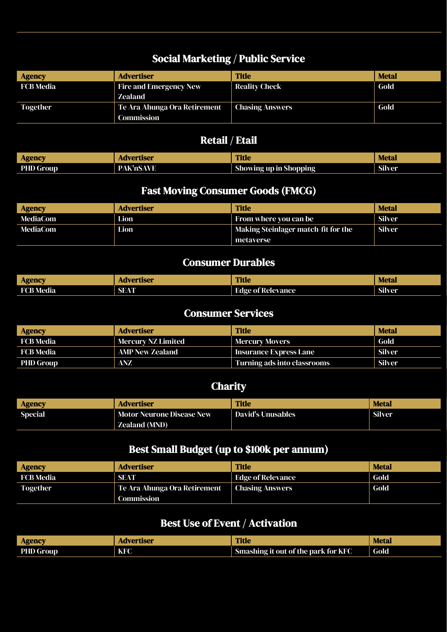# Social Marketing / Public Service

| <b>Agency</b>   | <b>Advertiser</b>             | <b>Title</b>           | <b>Metal</b> |
|-----------------|-------------------------------|------------------------|--------------|
| FCB Media       | <b>Fire and Emergency New</b> | <b>Reality Check</b>   | Gold         |
|                 | Zealand                       |                        |              |
| <b>Together</b> | Te Ara Ahunga Ora Retirement  | <b>Chasing Answers</b> | Gold         |
|                 | Commission                    |                        |              |

## Retail / Etail

| <b>Agency</b>    | <b>Advertiser</b> | <b>Title</b>                  | <b>Metal</b>  |
|------------------|-------------------|-------------------------------|---------------|
| <b>PHD Group</b> | <b>PAK'nSAVE</b>  | <b>Showing up in Shopping</b> | <b>Silver</b> |

## Fast Moving Consumer Goods (FMCG)

| <b>Agency</b> | Advertiser | <b>Title</b>                        | <b>Metal</b>  |
|---------------|------------|-------------------------------------|---------------|
| MediaCom      | Lion       | From where you can be               | Silver        |
| MediaCom      | Lion       | Making Steinlager match-fit for the | <b>Silver</b> |
|               |            | metaverse                           |               |

## Consumer Durables

| <b>Agency</b>    | <b>Advertiser</b> | <b>Title</b>             | <b>Metal</b>  |
|------------------|-------------------|--------------------------|---------------|
| <b>FCB Media</b> | SEAT              | <b>Edge of Relevance</b> | <b>Silver</b> |

## Consumer Services

| <b>Agency</b>    | <b>Advertiser</b>  | <b>Title</b>                | <b>Metal</b> |
|------------------|--------------------|-----------------------------|--------------|
| FCB Media        | Mercury NZ Limited | <b>Mercury Movers</b>       | Gold         |
| FCB Media        | AMP New Zealand    | Insurance Express Lane      | Silver       |
| <b>PHD Group</b> | <b>ANZ</b>         | Turning ads into classrooms | Silver       |

## **Charity**

| <b>Agency</b>  | <b>Advertiser</b>         | <b>Title</b>             | <b>Metal</b>  |
|----------------|---------------------------|--------------------------|---------------|
| <b>Special</b> | Motor Neurone Disease New | <b>David's Unusables</b> | <b>Silver</b> |
|                | <b>Zealand (MND)</b>      |                          |               |

## Best Small Budget (up to \$100k per annum)

| <b>Advertiser</b>                          | <b>Title</b> | <b>Metal</b>                                |
|--------------------------------------------|--------------|---------------------------------------------|
| <b>SEAT</b>                                |              | Gold                                        |
| Te Ara Ahunga Ora Retirement<br>Commission |              | Gold                                        |
|                                            |              | Edge of Relevance<br><b>Chasing Answers</b> |

# Best Use of Event / Activation

| <b>Agency</b>    | <b>Advertiser</b> | <b>Title</b>                        | <b>Metal</b> |
|------------------|-------------------|-------------------------------------|--------------|
| <b>PHD Group</b> | KFC               | Smashing it out of the park for KFC | Gold         |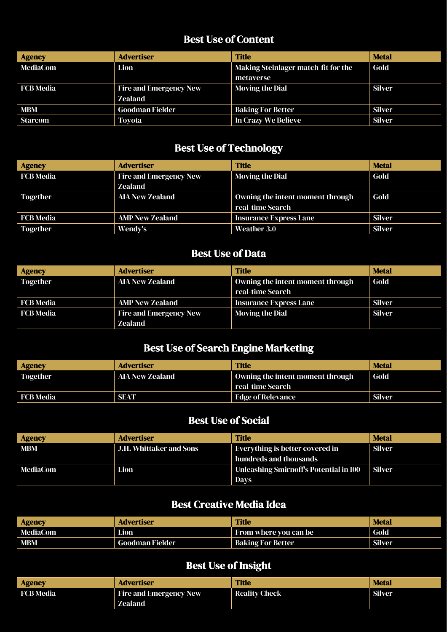# Best Use of Content

| <b>Agency</b>    | <b>Advertiser</b>             | <b>Title</b>                        | <b>Metal</b>  |
|------------------|-------------------------------|-------------------------------------|---------------|
| <b>MediaCom</b>  | Lion                          | Making Steinlager match-fit for the | Gold          |
|                  |                               | metaverse                           |               |
| <b>FCB</b> Media | <b>Fire and Emergency New</b> | <b>Moving the Dial</b>              | <b>Silver</b> |
|                  | <b>Zealand</b>                |                                     |               |
| <b>MBM</b>       | <b>Goodman Fielder</b>        | <b>Baking For Better</b>            | <b>Silver</b> |
| <b>Starcom</b>   | <b>Toyota</b>                 | In Crazy We Believe                 | <b>Silver</b> |

# Best Use of Technology

| <b>Agency</b>    | <b>Advertiser</b>             | <b>Title</b>                     | <b>Metal</b>  |
|------------------|-------------------------------|----------------------------------|---------------|
| <b>FCB</b> Media | <b>Fire and Emergency New</b> | <b>Moving the Dial</b>           | Gold          |
|                  | <b>Zealand</b>                |                                  |               |
| <b>Together</b>  | <b>AIA New Zealand</b>        | Owning the intent moment through | Gold          |
|                  |                               | real-time Search                 |               |
| <b>FCB Media</b> | <b>AMP New Zealand</b>        | <b>Insurance Express Lane</b>    | <b>Silver</b> |
| <b>Together</b>  | Wendy's                       | Weather 3.0                      | <b>Silver</b> |

## Best Use of Data

| <b>Agency</b>    | <b>Advertiser</b>             | <b>Title</b>                     | <b>Metal</b> |
|------------------|-------------------------------|----------------------------------|--------------|
| <b>Together</b>  | <b>AIA New Zealand</b>        | Owning the intent moment through | Gold         |
|                  |                               | real-time Search                 |              |
| <b>FCB Media</b> | <b>AMP New Zealand</b>        | <b>Insurance Express Lane</b>    | Silver       |
| <b>FCB Media</b> | <b>Fire and Emergency New</b> | <b>Moving the Dial</b>           | Silver       |
|                  | Zealand                       |                                  |              |

# Best Use of Search Engine Marketing

| <b>Agency</b>   | <b>Advertiser</b>      | <b>Title</b>                     | <b>Metal</b>  |
|-----------------|------------------------|----------------------------------|---------------|
| <b>Together</b> | <b>AIA New Zealand</b> | Owning the intent moment through | Gold          |
|                 |                        | real-time Search                 |               |
| FCB Media       | <b>SEAT</b>            | Edge of Relevance                | <b>Silver</b> |

## Best Use of Social

| <b>Agency</b> | <b>Advertiser</b>              | Title                                  | <b>Metal</b> |
|---------------|--------------------------------|----------------------------------------|--------------|
| <b>MBM</b>    | <b>J.H. Whittaker and Sons</b> | Everything is better covered in        | Silver       |
|               |                                | hundreds and thousands                 |              |
| MediaCom      | Lion                           | Unleashing Smirnoff's Potential in 100 | Silver       |
|               |                                | <b>Days</b>                            |              |

## Best Creative Media Idea

| <b>Agency</b> | Advertiser      | <b>Title</b>                 | <b>Metal</b>  |
|---------------|-----------------|------------------------------|---------------|
| MediaCom      | Lion            | <b>From where you can be</b> | Gold          |
| <b>MBM</b>    | Goodman Fielder | <b>Baking For Better</b>     | <b>Silver</b> |

# Best Use of Insight

| <b>Agency</b> | <b>Advertiser</b>             | <b>Title</b>         | <b>Metal</b> |
|---------------|-------------------------------|----------------------|--------------|
| FCB Media     | <b>Fire and Emergency New</b> | <b>Reality Check</b> | Silver       |
|               | Zealand                       |                      |              |